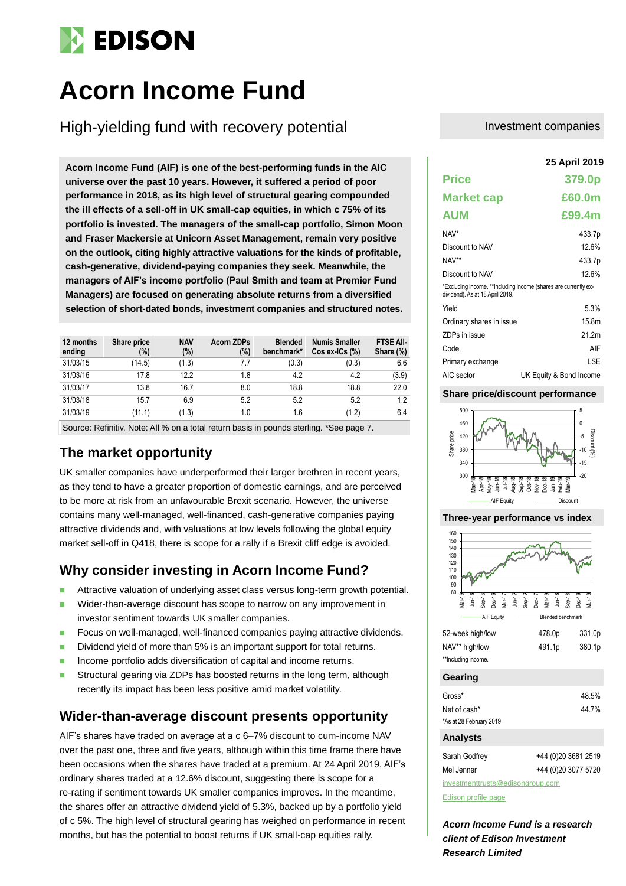# **EDISON**

# **Acorn Income Fund**

High-yielding fund with recovery potential

**25 April 2019 Acorn Income Fund (AIF) is one of the best-performing funds in the AIC universe over the past 10 years. However, it suffered a period of poor performance in 2018, as its high level of structural gearing compounded the ill effects of a sell-off in UK small-cap equities, in which c 75% of its portfolio is invested. The managers of the small-cap portfolio, Simon Moon and Fraser Mackersie at Unicorn Asset Management, remain very positive on the outlook, citing highly attractive valuations for the kinds of profitable, cash-generative, dividend-paying companies they seek. Meanwhile, the managers of AIF's income portfolio (Paul Smith and team at Premier Fund Managers) are focused on generating absolute returns from a diversified selection of short-dated bonds, investment companies and structured notes.**

| 12 months<br>ending | Share price<br>(%) | <b>NAV</b><br>$(\%)$ | <b>Acorn ZDPs</b><br>(%) | <b>Blended</b><br>benchmark* | <b>Numis Smaller</b><br>$Cos ex-ICs$ $%$ | <b>FTSE AII-</b><br>Share (%) |
|---------------------|--------------------|----------------------|--------------------------|------------------------------|------------------------------------------|-------------------------------|
| 31/03/15            | (14.5)             | (1.3)                | 7.7                      | (0.3)                        | (0.3)                                    | 6.6                           |
| 31/03/16            | 17.8               | 12.2                 | 1.8                      | 4.2                          | 4.2                                      | (3.9)                         |
| 31/03/17            | 13.8               | 16.7                 | 8.0                      | 18.8                         | 18.8                                     | 22.0                          |
| 31/03/18            | 15.7               | 6.9                  | 5.2                      | 5.2                          | 5.2                                      | 1.2                           |
| 31/03/19            | (11.1)             | (1.3)                | 1.0                      | 1.6                          | (1.2)                                    | 6.4                           |

Source: Refinitiv. Note: All % on a total return basis in pounds sterling. \*See page 7.

## **The market opportunity**

UK smaller companies have underperformed their larger brethren in recent years, as they tend to have a greater proportion of domestic earnings, and are perceived to be more at risk from an unfavourable Brexit scenario. However, the universe contains many well-managed, well-financed, cash-generative companies paying attractive dividends and, with valuations at low levels following the global equity market sell-off in Q418, there is scope for a rally if a Brexit cliff edge is avoided.

## **Why consider investing in Acorn Income Fund?**

- Attractive valuation of underlying asset class versus long-term growth potential.
- Wider-than-average discount has scope to narrow on any improvement in
- investor sentiment towards UK smaller companies. ■ Focus on well-managed, well-financed companies paying attractive dividends.
- Dividend yield of more than 5% is an important support for total returns.
- Income portfolio adds diversification of capital and income returns.
- Structural gearing via ZDPs has boosted returns in the long term, although recently its impact has been less positive amid market volatility.

## **Wider-than-average discount presents opportunity**

AIF's shares have traded on average at a c 6–7% discount to cum-income NAV over the past one, three and five years, although within this time frame there have been occasions when the shares have traded at a premium. At 24 April 2019, AIF's ordinary shares traded at a 12.6% discount, suggesting there is scope for a re-rating if sentiment towards UK smaller companies improves. In the meantime, the shares offer an attractive dividend yield of 5.3%, backed up by a portfolio yield of c 5%. The high level of structural gearing has weighed on performance in recent months, but has the potential to boost returns if UK small-cap equities rally.

### Investment companies

|                                 | 25 April 2019                                                    |
|---------------------------------|------------------------------------------------------------------|
| <b>Price</b>                    | 379.0p                                                           |
| <b>Market cap</b>               | £60.0m                                                           |
| <b>AUM</b>                      | £99.4m                                                           |
| NAV*                            | 433.7p                                                           |
| Discount to NAV                 | 12.6%                                                            |
| NAV**                           | 433.7p                                                           |
| Discount to NAV                 | 126%                                                             |
| dividend). As at 18 April 2019. | *Excluding income. ** Including income (shares are currently ex- |
| Yield                           | 5.3%                                                             |
| Ordinary shares in issue        | 15.8m                                                            |
| ZDPs in issue                   | 21 2m                                                            |
| Code                            | AIF                                                              |
| Primary exchange                | LSE                                                              |
| AIC sector                      | UK Equity & Bond Income                                          |

### **Share price/discount performance**



#### **Three-year performance vs index**



| 52-week high/low    | 478.0p | 331.0p |
|---------------------|--------|--------|
| NAV** high/low      | 491.1p | 380.1p |
| **Including income. |        |        |

#### **Gearing**

| Gross*                  | 48.5% |
|-------------------------|-------|
| Net of cash*            | 44.7% |
| *As at 28 February 2019 |       |
|                         |       |

### **Analysts**

| Sarah Godfrey                    | +44 (0) 20 3681 2519 |  |  |  |  |  |  |  |
|----------------------------------|----------------------|--|--|--|--|--|--|--|
| Mel Jenner                       | +44 (0)20 3077 5720  |  |  |  |  |  |  |  |
| investmenttrusts@edisongroup.com |                      |  |  |  |  |  |  |  |

[Edison profile page](https://www.edisongroup.com/company/acorn-income-fund)

*Acorn Income Fund is a research client of Edison Investment Research Limited*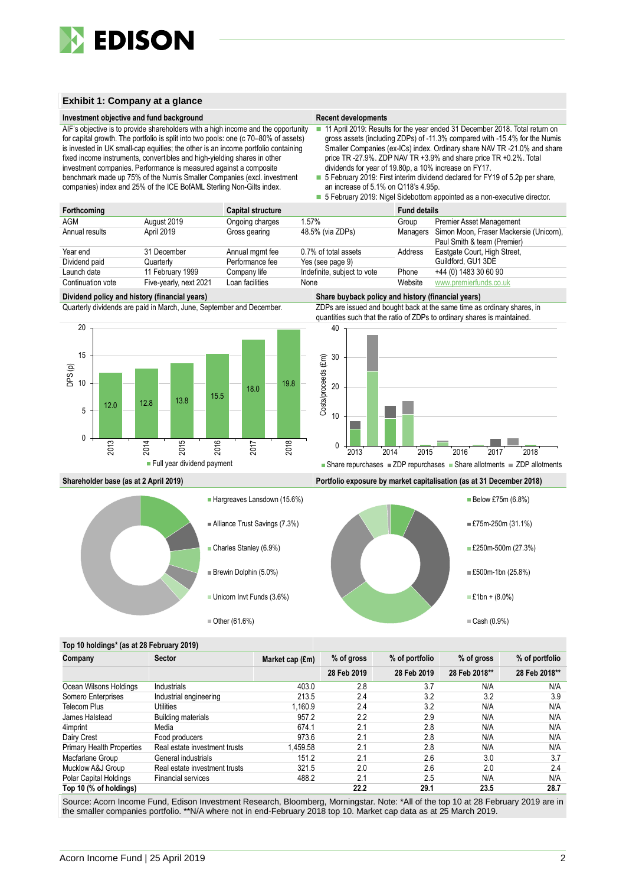

#### **Exhibit 1: Company at a glance**

#### **Investment objective and fund background Recent developments Recent developments**

AIF's objective is to provide shareholders with a high income and the opportunity for capital growth. The portfolio is split into two pools: one (c 70–80% of assets) is invested in UK small-cap equities; the other is an income portfolio containing fixed income instruments, convertibles and high-yielding shares in other investment companies. Performance is measured against a composite benchmark made up 75% of the Numis Smaller Companies (excl. investment companies) index and 25% of the ICE BofAML Sterling Non-Gilts index.

- 11 April 2019: Results for the year ended 31 December 2018. Total return on gross assets (including ZDPs) of -11.3% compared with -15.4% for the Numis Smaller Companies (ex-ICs) index. Ordinary share NAV TR -21.0% and share price TR -27.9%. ZDP NAV TR +3.9% and share price TR +0.2%. Total dividends for year of 19.80p, a 10% increase on FY17.
- 5 February 2019: First interim dividend declared for FY19 of 5.2p per share, an increase of 5.1% on Q118's 4.95p.
- 5 February 2019: Nigel Sidebottom appointed as a non-executive director.

| Forthcoming       |                        | Capital structure |                             | <b>Fund details</b> |                                                                                |
|-------------------|------------------------|-------------------|-----------------------------|---------------------|--------------------------------------------------------------------------------|
| AGM               | August 2019            | Ongoing charges   | 1.57%                       | Group               | <b>Premier Asset Management</b>                                                |
| Annual results    | April 2019             | Gross gearing     | 48.5% (via ZDPs)            |                     | Managers Simon Moon, Fraser Mackersie (Unicom),<br>Paul Smith & team (Premier) |
| Year end          | 31 December            | Annual mgmt fee   | 0.7% of total assets        | Address             | Eastgate Court, High Street,                                                   |
| Dividend paid     | Quarterly              | Performance fee   | Yes (see page 9)            |                     | Guildford, GU1 3DE                                                             |
| Launch date       | 11 February 1999       | Company life      | Indefinite, subject to vote | Phone               | +44 (0) 1483 30 60 90                                                          |
| Continuation vote | Five-yearly, next 2021 | Loan facilities   | None                        | Website             | www.premierfunds.co.uk                                                         |

#### **Dividend policy and history (financial years) Share buyback policy and history (financial years)**

Quarterly dividends are paid in March, June, September and December. ZDPs are issued and bought back at the same time as ordinary shares, in



quantities such that the ratio of ZDPs to ordinary shares is maintained.



#### **Shareholder base (as at 2 April 2019) Portfolio exposure by market capitalisation (as at 31 December 2018)**





#### **Top 10 holdings\* (as at 28 February 2019)**

| Company                          | <b>Sector</b>                 | Market cap (£m) | % of gross  | % of portfolio | % of gross    | % of portfolio |  |
|----------------------------------|-------------------------------|-----------------|-------------|----------------|---------------|----------------|--|
|                                  |                               |                 | 28 Feb 2019 | 28 Feb 2019    | 28 Feb 2018** | 28 Feb 2018**  |  |
| Ocean Wilsons Holdings           | Industrials                   | 403.0           | 2.8         | 3.7            | N/A           | N/A            |  |
| Somero Enterprises               | Industrial engineering        | 213.5           | 2.4         | 3.2            | 3.2           | 3.9            |  |
| <b>Telecom Plus</b>              | Utilities                     | 1.160.9         | 2.4         | 3.2            | N/A           | N/A            |  |
| James Halstead                   | <b>Building materials</b>     | 957.2           | 2.2         | 2.9            | N/A           | N/A            |  |
| 4imprint                         | Media                         | 674.1           | 2.1         | 2.8            | N/A           | N/A            |  |
| Dairy Crest                      | Food producers                | 973.6           | 2.1         | 2.8            | N/A           | N/A            |  |
| <b>Primary Health Properties</b> | Real estate investment trusts | 1.459.58        | 2.1         | 2.8            | N/A           | N/A            |  |
| Macfarlane Group                 | General industrials           | 151.2           | 2.1         | 2.6            | 3.0           | 3.7            |  |
| Mucklow A&J Group                | Real estate investment trusts | 321.5           | 2.0         | 2.6            | 2.0           | 2.4            |  |
| Polar Capital Holdings           | <b>Financial services</b>     | 488.2           | 2.1         | 2.5            | N/A           | N/A            |  |
| Top 10 (% of holdings)           |                               |                 | 22.2        | 29.1           | 23.5          | 28.7           |  |

Source: Acorn Income Fund, Edison Investment Research, Bloomberg, Morningstar. Note: \*All of the top 10 at 28 February 2019 are in the smaller companies portfolio. \*\*N/A where not in end-February 2018 top 10. Market cap data as at 25 March 2019.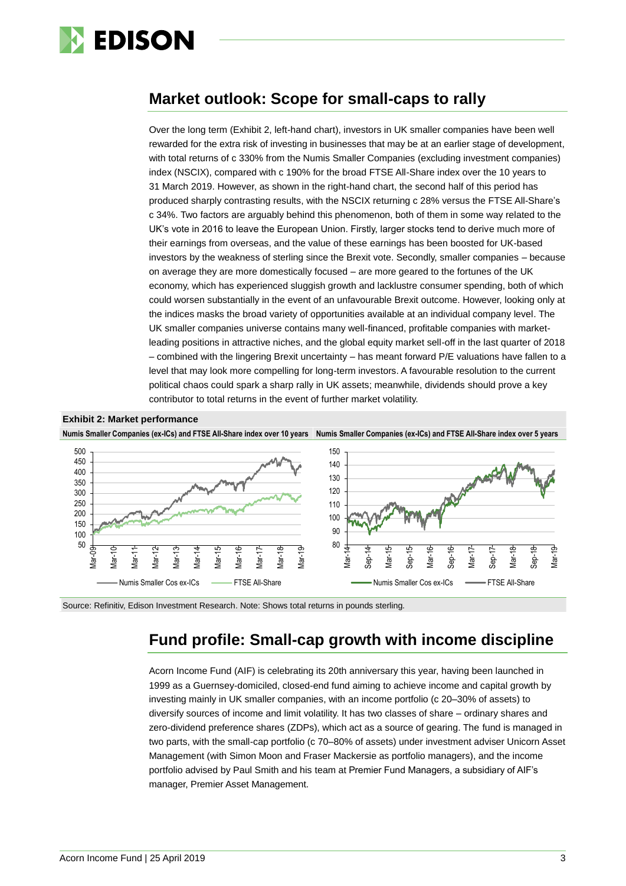

## **Market outlook: Scope for small-caps to rally**

Over the long term (Exhibit 2, left-hand chart), investors in UK smaller companies have been well rewarded for the extra risk of investing in businesses that may be at an earlier stage of development, with total returns of c 330% from the Numis Smaller Companies (excluding investment companies) index (NSCIX), compared with c 190% for the broad FTSE All-Share index over the 10 years to 31 March 2019. However, as shown in the right-hand chart, the second half of this period has produced sharply contrasting results, with the NSCIX returning c 28% versus the FTSE All-Share's c 34%. Two factors are arguably behind this phenomenon, both of them in some way related to the UK's vote in 2016 to leave the European Union. Firstly, larger stocks tend to derive much more of their earnings from overseas, and the value of these earnings has been boosted for UK-based investors by the weakness of sterling since the Brexit vote. Secondly, smaller companies – because on average they are more domestically focused – are more geared to the fortunes of the UK economy, which has experienced sluggish growth and lacklustre consumer spending, both of which could worsen substantially in the event of an unfavourable Brexit outcome. However, looking only at the indices masks the broad variety of opportunities available at an individual company level. The UK smaller companies universe contains many well-financed, profitable companies with marketleading positions in attractive niches, and the global equity market sell-off in the last quarter of 2018 – combined with the lingering Brexit uncertainty – has meant forward P/E valuations have fallen to a level that may look more compelling for long-term investors. A favourable resolution to the current political chaos could spark a sharp rally in UK assets; meanwhile, dividends should prove a key contributor to total returns in the event of further market volatility.



Source: Refinitiv, Edison Investment Research. Note: Shows total returns in pounds sterling.

## **Fund profile: Small-cap growth with income discipline**

Acorn Income Fund (AIF) is celebrating its 20th anniversary this year, having been launched in 1999 as a Guernsey-domiciled, closed-end fund aiming to achieve income and capital growth by investing mainly in UK smaller companies, with an income portfolio (c 20–30% of assets) to diversify sources of income and limit volatility. It has two classes of share – ordinary shares and zero-dividend preference shares (ZDPs), which act as a source of gearing. The fund is managed in two parts, with the small-cap portfolio (c 70–80% of assets) under investment adviser Unicorn Asset Management (with Simon Moon and Fraser Mackersie as portfolio managers), and the income portfolio advised by Paul Smith and his team at Premier Fund Managers, a subsidiary of AIF's manager, Premier Asset Management.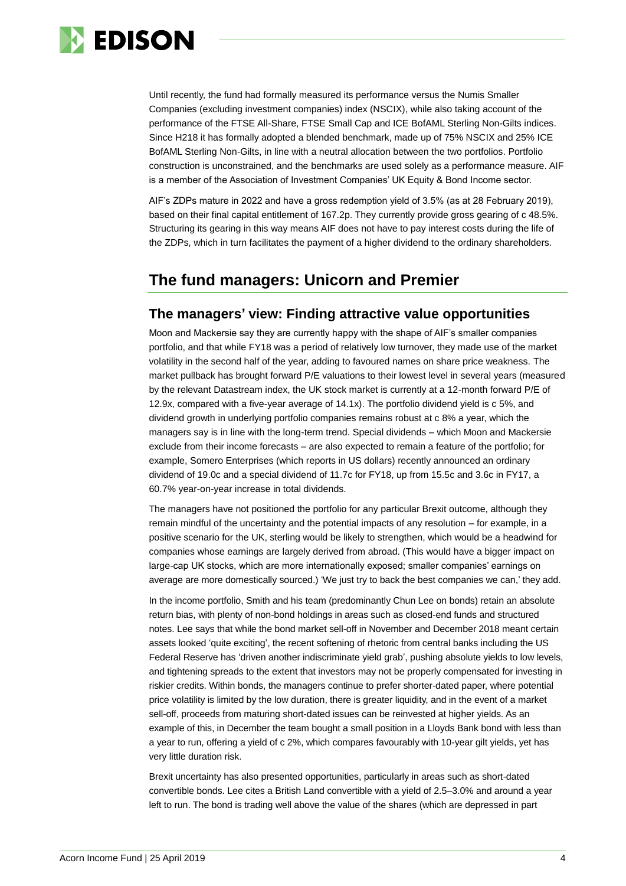

Until recently, the fund had formally measured its performance versus the Numis Smaller Companies (excluding investment companies) index (NSCIX), while also taking account of the performance of the FTSE All-Share, FTSE Small Cap and ICE BofAML Sterling Non-Gilts indices. Since H218 it has formally adopted a blended benchmark, made up of 75% NSCIX and 25% ICE BofAML Sterling Non-Gilts, in line with a neutral allocation between the two portfolios. Portfolio construction is unconstrained, and the benchmarks are used solely as a performance measure. AIF is a member of the Association of Investment Companies' UK Equity & Bond Income sector.

AIF's ZDPs mature in 2022 and have a gross redemption yield of 3.5% (as at 28 February 2019), based on their final capital entitlement of 167.2p. They currently provide gross gearing of c 48.5%. Structuring its gearing in this way means AIF does not have to pay interest costs during the life of the ZDPs, which in turn facilitates the payment of a higher dividend to the ordinary shareholders.

## **The fund managers: Unicorn and Premier**

## **The managers' view: Finding attractive value opportunities**

Moon and Mackersie say they are currently happy with the shape of AIF's smaller companies portfolio, and that while FY18 was a period of relatively low turnover, they made use of the market volatility in the second half of the year, adding to favoured names on share price weakness. The market pullback has brought forward P/E valuations to their lowest level in several years (measured by the relevant Datastream index, the UK stock market is currently at a 12-month forward P/E of 12.9x, compared with a five-year average of 14.1x). The portfolio dividend yield is c 5%, and dividend growth in underlying portfolio companies remains robust at c 8% a year, which the managers say is in line with the long-term trend. Special dividends – which Moon and Mackersie exclude from their income forecasts – are also expected to remain a feature of the portfolio; for example, Somero Enterprises (which reports in US dollars) recently announced an ordinary dividend of 19.0c and a special dividend of 11.7c for FY18, up from 15.5c and 3.6c in FY17, a 60.7% year-on-year increase in total dividends.

The managers have not positioned the portfolio for any particular Brexit outcome, although they remain mindful of the uncertainty and the potential impacts of any resolution – for example, in a positive scenario for the UK, sterling would be likely to strengthen, which would be a headwind for companies whose earnings are largely derived from abroad. (This would have a bigger impact on large-cap UK stocks, which are more internationally exposed; smaller companies' earnings on average are more domestically sourced.) 'We just try to back the best companies we can,' they add.

In the income portfolio, Smith and his team (predominantly Chun Lee on bonds) retain an absolute return bias, with plenty of non-bond holdings in areas such as closed-end funds and structured notes. Lee says that while the bond market sell-off in November and December 2018 meant certain assets looked 'quite exciting', the recent softening of rhetoric from central banks including the US Federal Reserve has 'driven another indiscriminate yield grab', pushing absolute yields to low levels, and tightening spreads to the extent that investors may not be properly compensated for investing in riskier credits. Within bonds, the managers continue to prefer shorter-dated paper, where potential price volatility is limited by the low duration, there is greater liquidity, and in the event of a market sell-off, proceeds from maturing short-dated issues can be reinvested at higher yields. As an example of this, in December the team bought a small position in a Lloyds Bank bond with less than a year to run, offering a yield of c 2%, which compares favourably with 10-year gilt yields, yet has very little duration risk.

Brexit uncertainty has also presented opportunities, particularly in areas such as short-dated convertible bonds. Lee cites a British Land convertible with a yield of 2.5–3.0% and around a year left to run. The bond is trading well above the value of the shares (which are depressed in part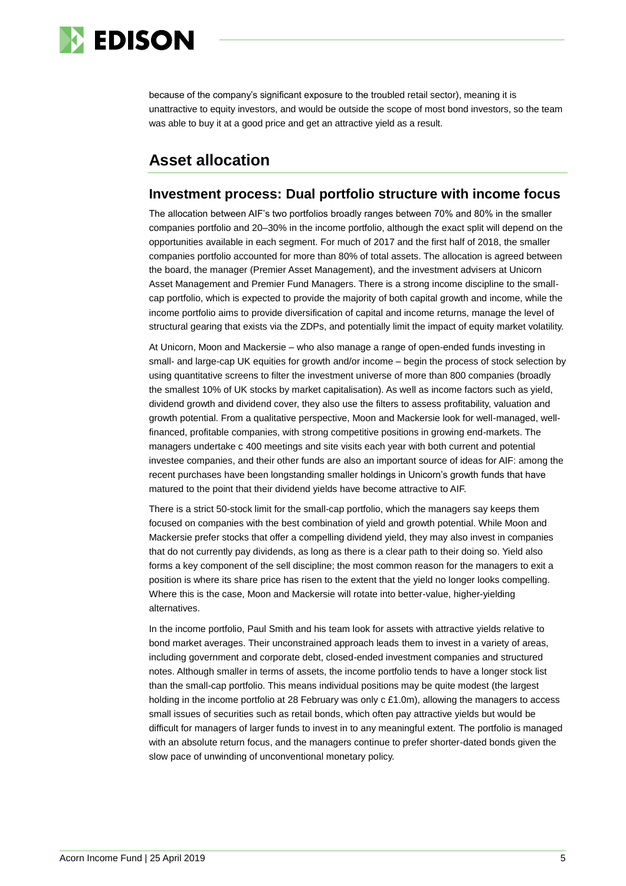

because of the company's significant exposure to the troubled retail sector), meaning it is unattractive to equity investors, and would be outside the scope of most bond investors, so the team was able to buy it at a good price and get an attractive yield as a result.

## **Asset allocation**

## **Investment process: Dual portfolio structure with income focus**

The allocation between AIF's two portfolios broadly ranges between 70% and 80% in the smaller companies portfolio and 20–30% in the income portfolio, although the exact split will depend on the opportunities available in each segment. For much of 2017 and the first half of 2018, the smaller companies portfolio accounted for more than 80% of total assets. The allocation is agreed between the board, the manager (Premier Asset Management), and the investment advisers at Unicorn Asset Management and Premier Fund Managers. There is a strong income discipline to the smallcap portfolio, which is expected to provide the majority of both capital growth and income, while the income portfolio aims to provide diversification of capital and income returns, manage the level of structural gearing that exists via the ZDPs, and potentially limit the impact of equity market volatility.

At Unicorn, Moon and Mackersie – who also manage a range of open-ended funds investing in small- and large-cap UK equities for growth and/or income – begin the process of stock selection by using quantitative screens to filter the investment universe of more than 800 companies (broadly the smallest 10% of UK stocks by market capitalisation). As well as income factors such as yield, dividend growth and dividend cover, they also use the filters to assess profitability, valuation and growth potential. From a qualitative perspective, Moon and Mackersie look for well-managed, wellfinanced, profitable companies, with strong competitive positions in growing end-markets. The managers undertake c 400 meetings and site visits each year with both current and potential investee companies, and their other funds are also an important source of ideas for AIF: among the recent purchases have been longstanding smaller holdings in Unicorn's growth funds that have matured to the point that their dividend yields have become attractive to AIF.

There is a strict 50-stock limit for the small-cap portfolio, which the managers say keeps them focused on companies with the best combination of yield and growth potential. While Moon and Mackersie prefer stocks that offer a compelling dividend yield, they may also invest in companies that do not currently pay dividends, as long as there is a clear path to their doing so. Yield also forms a key component of the sell discipline; the most common reason for the managers to exit a position is where its share price has risen to the extent that the yield no longer looks compelling. Where this is the case, Moon and Mackersie will rotate into better-value, higher-yielding alternatives.

In the income portfolio, Paul Smith and his team look for assets with attractive yields relative to bond market averages. Their unconstrained approach leads them to invest in a variety of areas, including government and corporate debt, closed-ended investment companies and structured notes. Although smaller in terms of assets, the income portfolio tends to have a longer stock list than the small-cap portfolio. This means individual positions may be quite modest (the largest holding in the income portfolio at 28 February was only c £1.0m), allowing the managers to access small issues of securities such as retail bonds, which often pay attractive yields but would be difficult for managers of larger funds to invest in to any meaningful extent. The portfolio is managed with an absolute return focus, and the managers continue to prefer shorter-dated bonds given the slow pace of unwinding of unconventional monetary policy.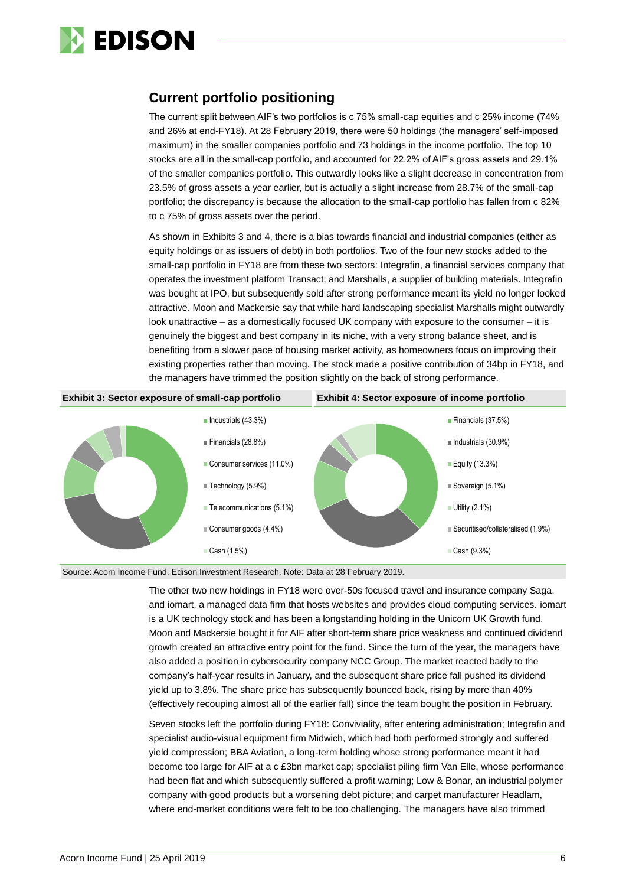

## **Current portfolio positioning**

The current split between AIF's two portfolios is c 75% small-cap equities and c 25% income (74% and 26% at end-FY18). At 28 February 2019, there were 50 holdings (the managers' self-imposed maximum) in the smaller companies portfolio and 73 holdings in the income portfolio. The top 10 stocks are all in the small-cap portfolio, and accounted for 22.2% of AIF's gross assets and 29.1% of the smaller companies portfolio. This outwardly looks like a slight decrease in concentration from 23.5% of gross assets a year earlier, but is actually a slight increase from 28.7% of the small-cap portfolio; the discrepancy is because the allocation to the small-cap portfolio has fallen from c 82% to c 75% of gross assets over the period.

As shown in Exhibits 3 and 4, there is a bias towards financial and industrial companies (either as equity holdings or as issuers of debt) in both portfolios. Two of the four new stocks added to the small-cap portfolio in FY18 are from these two sectors: Integrafin, a financial services company that operates the investment platform Transact; and Marshalls, a supplier of building materials. Integrafin was bought at IPO, but subsequently sold after strong performance meant its yield no longer looked attractive. Moon and Mackersie say that while hard landscaping specialist Marshalls might outwardly look unattractive – as a domestically focused UK company with exposure to the consumer – it is genuinely the biggest and best company in its niche, with a very strong balance sheet, and is benefiting from a slower pace of housing market activity, as homeowners focus on improving their existing properties rather than moving. The stock made a positive contribution of 34bp in FY18, and the managers have trimmed the position slightly on the back of strong performance.



Source: Acorn Income Fund, Edison Investment Research. Note: Data at 28 February 2019.

The other two new holdings in FY18 were over-50s focused travel and insurance company Saga, and iomart, a managed data firm that hosts websites and provides cloud computing services. iomart is a UK technology stock and has been a longstanding holding in the Unicorn UK Growth fund. Moon and Mackersie bought it for AIF after short-term share price weakness and continued dividend growth created an attractive entry point for the fund. Since the turn of the year, the managers have also added a position in cybersecurity company NCC Group. The market reacted badly to the company's half-year results in January, and the subsequent share price fall pushed its dividend yield up to 3.8%. The share price has subsequently bounced back, rising by more than 40% (effectively recouping almost all of the earlier fall) since the team bought the position in February.

Seven stocks left the portfolio during FY18: Conviviality, after entering administration; Integrafin and specialist audio-visual equipment firm Midwich, which had both performed strongly and suffered yield compression; BBA Aviation, a long-term holding whose strong performance meant it had become too large for AIF at a c £3bn market cap; specialist piling firm Van Elle, whose performance had been flat and which subsequently suffered a profit warning; Low & Bonar, an industrial polymer company with good products but a worsening debt picture; and carpet manufacturer Headlam, where end-market conditions were felt to be too challenging. The managers have also trimmed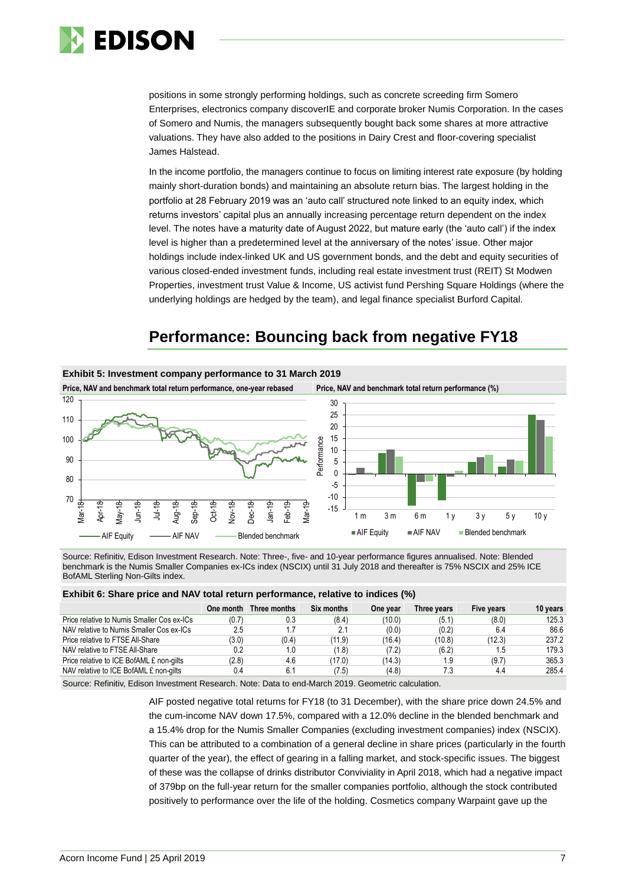

positions in some strongly performing holdings, such as concrete screeding firm Somero Enterprises, electronics company discoverIE and corporate broker Numis Corporation. In the cases of Somero and Numis, the managers subsequently bought back some shares at more attractive valuations. They have also added to the positions in Dairy Crest and floor-covering specialist James Halstead.

In the income portfolio, the managers continue to focus on limiting interest rate exposure (by holding mainly short-duration bonds) and maintaining an absolute return bias. The largest holding in the portfolio at 28 February 2019 was an 'auto call' structured note linked to an equity index, which returns investors' capital plus an annually increasing percentage return dependent on the index level. The notes have a maturity date of August 2022, but mature early (the 'auto call') if the index level is higher than a predetermined level at the anniversary of the notes' issue. Other major holdings include index-linked UK and US government bonds, and the debt and equity securities of various closed-ended investment funds, including real estate investment trust (REIT) St Modwen Properties, investment trust Value & Income, US activist fund Pershing Square Holdings (where the underlying holdings are hedged by the team), and legal finance specialist Burford Capital.

## **Performance: Bouncing back from negative FY18**



Source: Refinitiv, Edison Investment Research. Note: Three-, five- and 10-year performance figures annualised. Note: Blended benchmark is the Numis Smaller Companies ex-ICs index (NSCIX) until 31 July 2018 and thereafter is 75% NSCIX and 25% ICE BofAML Sterling Non-Gilts index.

| Exhibit 6: Share price and NAV total return performance, relative to indices (%) |  |  |
|----------------------------------------------------------------------------------|--|--|
|----------------------------------------------------------------------------------|--|--|

|                                            |       | One month Three months | <b>Six months</b> | One year | Three years | Five years | 10 years |
|--------------------------------------------|-------|------------------------|-------------------|----------|-------------|------------|----------|
| Price relative to Numis Smaller Cos ex-ICs | (0.7) | 0.3                    | (8.4)             | (10.0)   | (5.1)       | (8.0)      | 125.3    |
| NAV relative to Numis Smaller Cos ex-ICs   | 2.5   | 1.7                    | 2.1               | (0.0)    | (0.2)       | 6.4        | 86.6     |
| Price relative to FTSE All-Share           | (3.0) | (0.4)                  | (11.9)            | (16.4)   | (10.8)      | (12.3)     | 237.2    |
| NAV relative to FTSE All-Share             | 0.2   | 1.0                    | (1.8)             | (7.2)    | (6.2)       | 1.5        | 179.3    |
| Price relative to ICE BofAML £ non-gilts   | (2.8) | 4.6                    | (17.0)            | (14.3)   | 1.9         | (9.7)      | 365.3    |
| NAV relative to ICE BofAML £ non-gilts     | 0.4   | 6.1                    | (7.5)             | (4.8)    | 7.3         | 4.4        | 285.4    |
|                                            |       |                        |                   |          |             |            |          |

Source: Refinitiv, Edison Investment Research. Note: Data to end-March 2019. Geometric calculation.

AIF posted negative total returns for FY18 (to 31 December), with the share price down 24.5% and the cum-income NAV down 17.5%, compared with a 12.0% decline in the blended benchmark and a 15.4% drop for the Numis Smaller Companies (excluding investment companies) index (NSCIX). This can be attributed to a combination of a general decline in share prices (particularly in the fourth quarter of the year), the effect of gearing in a falling market, and stock-specific issues. The biggest of these was the collapse of drinks distributor Conviviality in April 2018, which had a negative impact of 379bp on the full-year return for the smaller companies portfolio, although the stock contributed positively to performance over the life of the holding. Cosmetics company Warpaint gave up the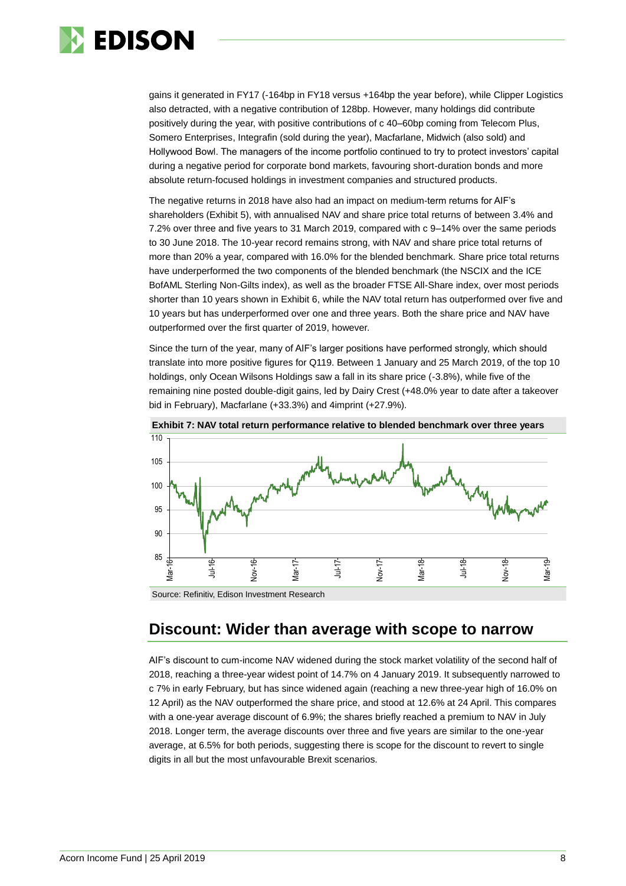

gains it generated in FY17 (-164bp in FY18 versus +164bp the year before), while Clipper Logistics also detracted, with a negative contribution of 128bp. However, many holdings did contribute positively during the year, with positive contributions of c 40–60bp coming from Telecom Plus, Somero Enterprises, Integrafin (sold during the year), Macfarlane, Midwich (also sold) and Hollywood Bowl. The managers of the income portfolio continued to try to protect investors' capital during a negative period for corporate bond markets, favouring short-duration bonds and more absolute return-focused holdings in investment companies and structured products.

The negative returns in 2018 have also had an impact on medium-term returns for AIF's shareholders (Exhibit 5), with annualised NAV and share price total returns of between 3.4% and 7.2% over three and five years to 31 March 2019, compared with c 9–14% over the same periods to 30 June 2018. The 10-year record remains strong, with NAV and share price total returns of more than 20% a year, compared with 16.0% for the blended benchmark. Share price total returns have underperformed the two components of the blended benchmark (the NSCIX and the ICE BofAML Sterling Non-Gilts index), as well as the broader FTSE All-Share index, over most periods shorter than 10 years shown in Exhibit 6, while the NAV total return has outperformed over five and 10 years but has underperformed over one and three years. Both the share price and NAV have outperformed over the first quarter of 2019, however.

Since the turn of the year, many of AIF's larger positions have performed strongly, which should translate into more positive figures for Q119. Between 1 January and 25 March 2019, of the top 10 holdings, only Ocean Wilsons Holdings saw a fall in its share price (-3.8%), while five of the remaining nine posted double-digit gains, led by Dairy Crest (+48.0% year to date after a takeover bid in February), Macfarlane (+33.3%) and 4imprint (+27.9%).



## **Discount: Wider than average with scope to narrow**

AIF's discount to cum-income NAV widened during the stock market volatility of the second half of 2018, reaching a three-year widest point of 14.7% on 4 January 2019. It subsequently narrowed to c 7% in early February, but has since widened again (reaching a new three-year high of 16.0% on 12 April) as the NAV outperformed the share price, and stood at 12.6% at 24 April. This compares with a one-year average discount of 6.9%; the shares briefly reached a premium to NAV in July 2018. Longer term, the average discounts over three and five years are similar to the one-year average, at 6.5% for both periods, suggesting there is scope for the discount to revert to single digits in all but the most unfavourable Brexit scenarios.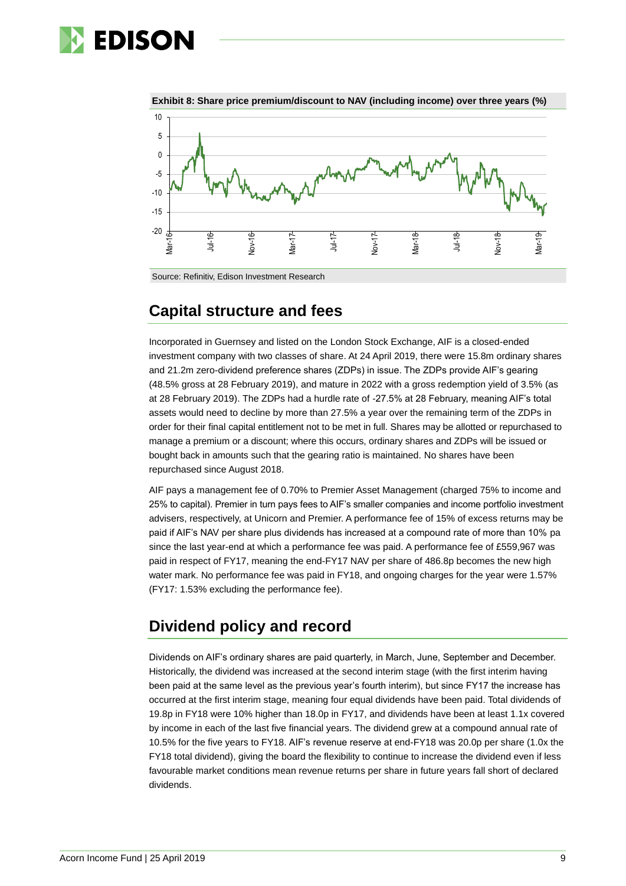



**Exhibit 8: Share price premium/discount to NAV (including income) over three years (%)**

## **Capital structure and fees**

Incorporated in Guernsey and listed on the London Stock Exchange, AIF is a closed-ended investment company with two classes of share. At 24 April 2019, there were 15.8m ordinary shares and 21.2m zero-dividend preference shares (ZDPs) in issue. The ZDPs provide AIF's gearing (48.5% gross at 28 February 2019), and mature in 2022 with a gross redemption yield of 3.5% (as at 28 February 2019). The ZDPs had a hurdle rate of -27.5% at 28 February, meaning AIF's total assets would need to decline by more than 27.5% a year over the remaining term of the ZDPs in order for their final capital entitlement not to be met in full. Shares may be allotted or repurchased to manage a premium or a discount; where this occurs, ordinary shares and ZDPs will be issued or bought back in amounts such that the gearing ratio is maintained. No shares have been repurchased since August 2018.

AIF pays a management fee of 0.70% to Premier Asset Management (charged 75% to income and 25% to capital). Premier in turn pays fees to AIF's smaller companies and income portfolio investment advisers, respectively, at Unicorn and Premier. A performance fee of 15% of excess returns may be paid if AIF's NAV per share plus dividends has increased at a compound rate of more than 10% pa since the last year-end at which a performance fee was paid. A performance fee of £559,967 was paid in respect of FY17, meaning the end-FY17 NAV per share of 486.8p becomes the new high water mark. No performance fee was paid in FY18, and ongoing charges for the year were 1.57% (FY17: 1.53% excluding the performance fee).

## **Dividend policy and record**

Dividends on AIF's ordinary shares are paid quarterly, in March, June, September and December. Historically, the dividend was increased at the second interim stage (with the first interim having been paid at the same level as the previous year's fourth interim), but since FY17 the increase has occurred at the first interim stage, meaning four equal dividends have been paid. Total dividends of 19.8p in FY18 were 10% higher than 18.0p in FY17, and dividends have been at least 1.1x covered by income in each of the last five financial years. The dividend grew at a compound annual rate of 10.5% for the five years to FY18. AIF's revenue reserve at end-FY18 was 20.0p per share (1.0x the FY18 total dividend), giving the board the flexibility to continue to increase the dividend even if less favourable market conditions mean revenue returns per share in future years fall short of declared dividends.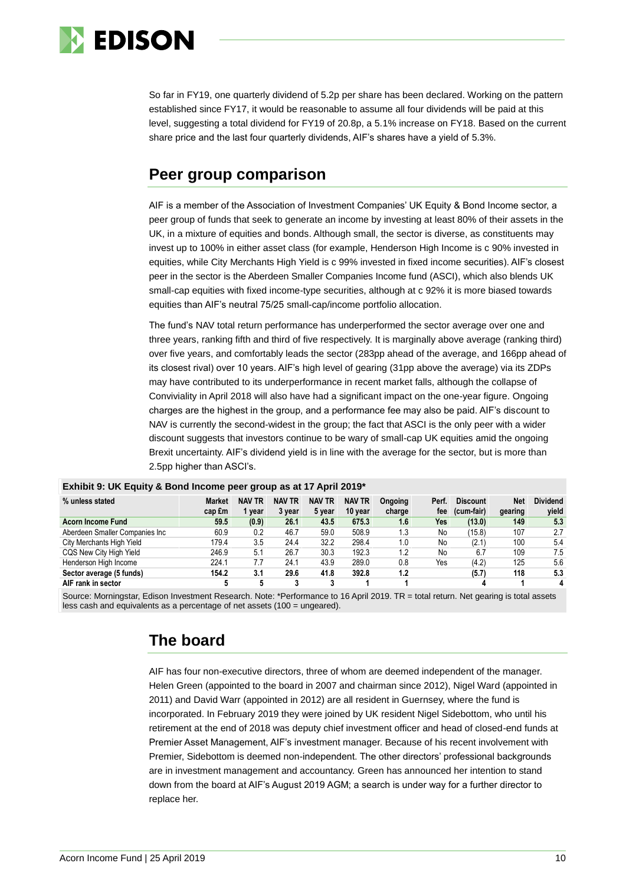

So far in FY19, one quarterly dividend of 5.2p per share has been declared. Working on the pattern established since FY17, it would be reasonable to assume all four dividends will be paid at this level, suggesting a total dividend for FY19 of 20.8p, a 5.1% increase on FY18. Based on the current share price and the last four quarterly dividends, AIF's shares have a yield of 5.3%.

## **Peer group comparison**

AIF is a member of the Association of Investment Companies' UK Equity & Bond Income sector, a peer group of funds that seek to generate an income by investing at least 80% of their assets in the UK, in a mixture of equities and bonds. Although small, the sector is diverse, as constituents may invest up to 100% in either asset class (for example, Henderson High Income is c 90% invested in equities, while City Merchants High Yield is c 99% invested in fixed income securities). AIF's closest peer in the sector is the Aberdeen Smaller Companies Income fund (ASCI), which also blends UK small-cap equities with fixed income-type securities, although at c 92% it is more biased towards equities than AIF's neutral 75/25 small-cap/income portfolio allocation.

The fund's NAV total return performance has underperformed the sector average over one and three years, ranking fifth and third of five respectively. It is marginally above average (ranking third) over five years, and comfortably leads the sector (283pp ahead of the average, and 166pp ahead of its closest rival) over 10 years. AIF's high level of gearing (31pp above the average) via its ZDPs may have contributed to its underperformance in recent market falls, although the collapse of Conviviality in April 2018 will also have had a significant impact on the one-year figure. Ongoing charges are the highest in the group, and a performance fee may also be paid. AIF's discount to NAV is currently the second-widest in the group; the fact that ASCI is the only peer with a wider discount suggests that investors continue to be wary of small-cap UK equities amid the ongoing Brexit uncertainty. AIF's dividend yield is in line with the average for the sector, but is more than 2.5pp higher than ASCI's.

| . .                            |               |               |               |               |               |         |       |                 |            |                 |
|--------------------------------|---------------|---------------|---------------|---------------|---------------|---------|-------|-----------------|------------|-----------------|
| % unless stated                | <b>Market</b> | <b>NAV TR</b> | <b>NAV TR</b> | <b>NAV TR</b> | <b>NAV TR</b> | Ongoing | Perf. | <b>Discount</b> | <b>Net</b> | <b>Dividend</b> |
|                                | cap £m        | year          | 3 year        | 5 year        | 10 year       | charge  | fee   | (cum-fair)      | gearing    | yield           |
| <b>Acorn Income Fund</b>       | 59.5          | (0.9)         | 26.1          | 43.5          | 675.3         | 1.6     | Yes   | (13.0)          | 149        | 5.3             |
| Aberdeen Smaller Companies Inc | 60.9          | 0.2           | 46.7          | 59.0          | 508.9         | 1.3     | No    | (15.8)          | 107        | 2.7             |
| City Merchants High Yield      | 179.4         | 3.5           | 24.4          | 32.2          | 298.4         | 1.0     | No    | (2.1)           | 100        | 5.4             |
| CQS New City High Yield        | 246.9         | 5.1           | 26.7          | 30.3          | 192.3         | 1.2     | No    | 6.7             | 109        | 7.5             |
| Henderson High Income          | 224.1         | 7.7           | 24.1          | 43.9          | 289.0         | 0.8     | Yes   | (4.2)           | 125        | 5.6             |
| Sector average (5 funds)       | 154.2         | 3.1           | 29.6          | 41.8          | 392.8         | 1.2     |       | (5.7)           | 118        | 5.3             |
| AIF rank in sector             |               |               |               |               |               |         |       |                 |            | 4               |

### **Exhibit 9: UK Equity & Bond Income peer group as at 17 April 2019\***

Source: Morningstar, Edison Investment Research. Note: \*Performance to 16 April 2019. TR = total return. Net gearing is total assets less cash and equivalents as a percentage of net assets (100 = ungeared).

## **The board**

AIF has four non-executive directors, three of whom are deemed independent of the manager. Helen Green (appointed to the board in 2007 and chairman since 2012), Nigel Ward (appointed in 2011) and David Warr (appointed in 2012) are all resident in Guernsey, where the fund is incorporated. In February 2019 they were joined by UK resident Nigel Sidebottom, who until his retirement at the end of 2018 was deputy chief investment officer and head of closed-end funds at Premier Asset Management, AIF's investment manager. Because of his recent involvement with Premier, Sidebottom is deemed non-independent. The other directors' professional backgrounds are in investment management and accountancy. Green has announced her intention to stand down from the board at AIF's August 2019 AGM; a search is under way for a further director to replace her.